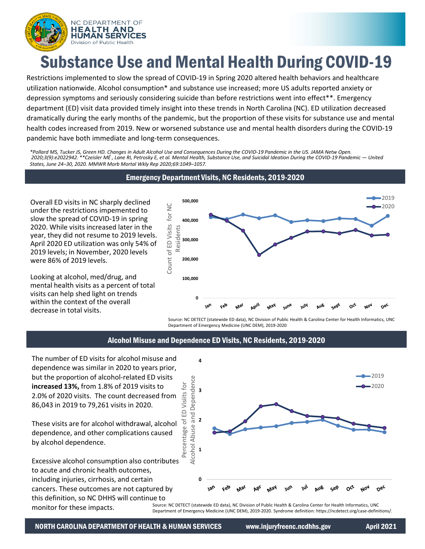

# Substance Use and Mental Health During COVID-19

Restrictions implemented to slow the spread of COVID-19 in Spring 2020 altered health behaviors and healthcare utilization nationwide. Alcohol consumption\* and substance use increased; more US adults reported anxiety or depression symptoms and seriously considering suicide than before restrictions went into effect\*\*. Emergency department (ED) visit data provided timely insight into these trends in North Carolina (NC). ED utilization decreased dramatically during the early months of the pandemic, but the proportion of these visits for substance use and mental health codes increased from 2019. New or worsened substance use and mental health disorders during the COVID-19 pandemic have both immediate and long-term consequences.

*\*Pollard MS, Tucker JS, Green HD. Changes in Adult Alcohol Use and Consequences During the COVID-19 Pandemic in the US. JAMA Netw Open. 2020;3(9):e2022942. \*\*Czeisler MÉ , Lane RI, Petrosky E, et al. Mental Health, Substance Use, and Suicidal Ideation During the COVID-19 Pandemic — United States, June 24–30, 2020. MMWR Morb Mortal Wkly Rep 2020;69:1049–1057.*

# Emergency Department Visits, NC Residents, 2019-2020

Overall ED visits in NC sharply declined under the restrictions impemented to slow the spread of COVID-19 in spring 2020. While visits increased later in the year, they did not resume to 2019 levels. April 2020 ED utilization was only 54% of 2019 levels; in November, 2020 levels were 86% of 2019 levels.

Looking at alcohol, med/drug, and mental health visits as a percent of total visits can help shed light on trends within the context of the overall decrease in total visits.



Source: NC DETECT (statewide ED data), NC Division of Public Health & Carolina Center for Health Informatics, UNC Department of Emergency Medicine (UNC DEM), 2019-2020

### Alcohol Misuse and Dependence ED Visits, NC Residents, 2019-2020

The number of ED visits for alcohol misuse and dependence was similar in 2020 to years prior, but the proportion of alcohol-related ED visits **increased 13%,** from 1.8% of 2019 visits to 2.0% of 2020 visits. The count decreased from 86,043 in 2019 to 79,261 visits in 2020.

These visits are for alcohol withdrawal, alcohol dependence, and other complications caused by alcohol dependence.

Excessive alcohol consumption also contributes to acute and chronic health outcomes, including injuries, cirrhosis, and certain cancers. These outcomes are not captured by this definition, so NC DHHS will continue to monitor for these impacts.



Source: NC DETECT (statewide ED data), NC Division of Public Health & Carolina Center for Health Informatics, UNC Department of Emergency Medicine (UNC DEM), 2019-2020. Syndrome definition: https://ncdetect.org/case-definitions/.